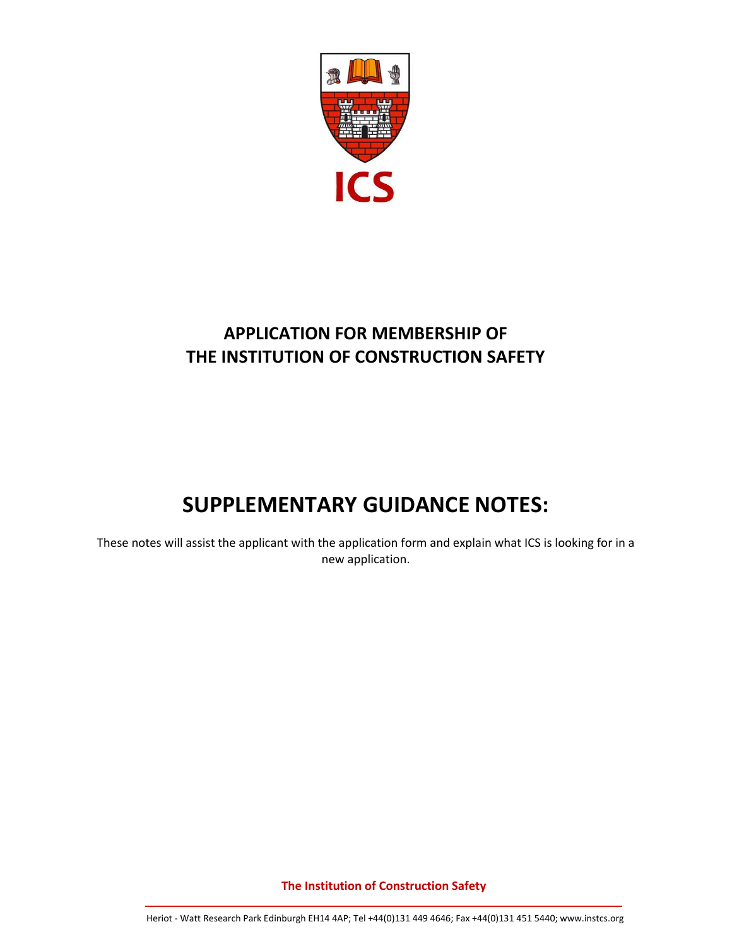

## **APPLICATION FOR MEMBERSHIP OF THE INSTITUTION OF CONSTRUCTION SAFETY**

# **SUPPLEMENTARY GUIDANCE NOTES:**

These notes will assist the applicant with the application form and explain what ICS is looking for in a new application.

**The Institution of Construction Safety**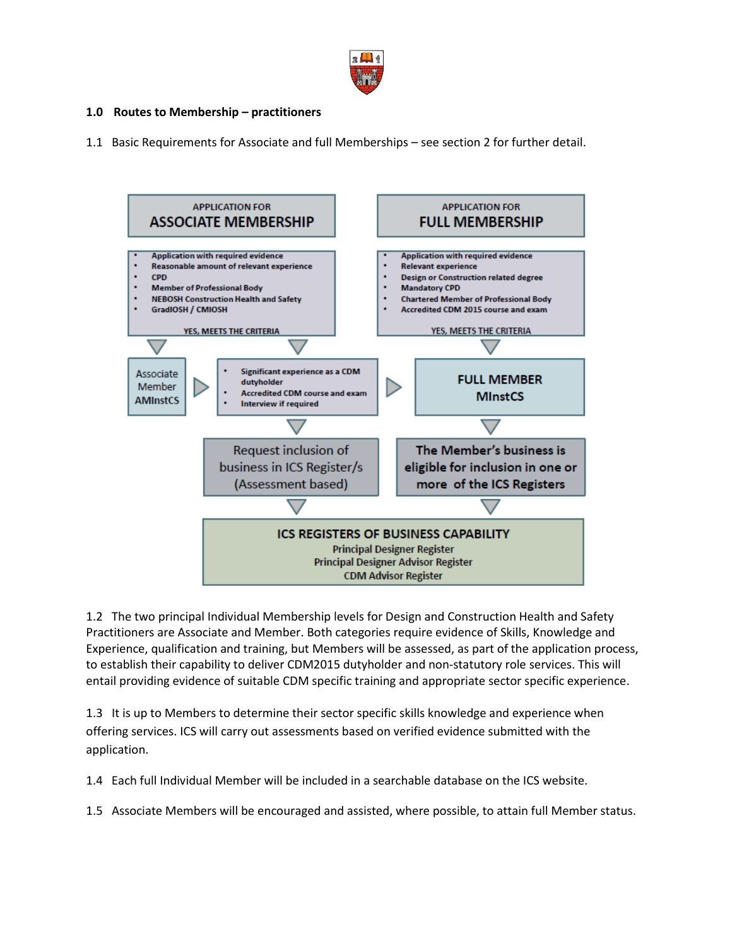

#### **1.0 Routes to Membership – practitioners**

1.1 Basic Requirements for Associate and full Memberships – see section 2 for further detail.



1.2 The two principal Individual Membership levels for Design and Construction Health and Safety Practitioners are Associate and Member. Both categories require evidence of Skills, Knowledge and Experience, qualification and training, but Members will be assessed, as part of the application process, to establish their capability to deliver CDM2015 dutyholder and non-statutory role services. This will entail providing evidence of suitable CDM specific training and appropriate sector specific experience.

1.3 It is up to Members to determine their sector specific skills knowledge and experience when offering services. ICS will carry out assessments based on verified evidence submitted with the application.

1.4 Each full Individual Member will be included in a searchable database on the ICS website.

1.5 Associate Members will be encouraged and assisted, where possible, to attain full Member status.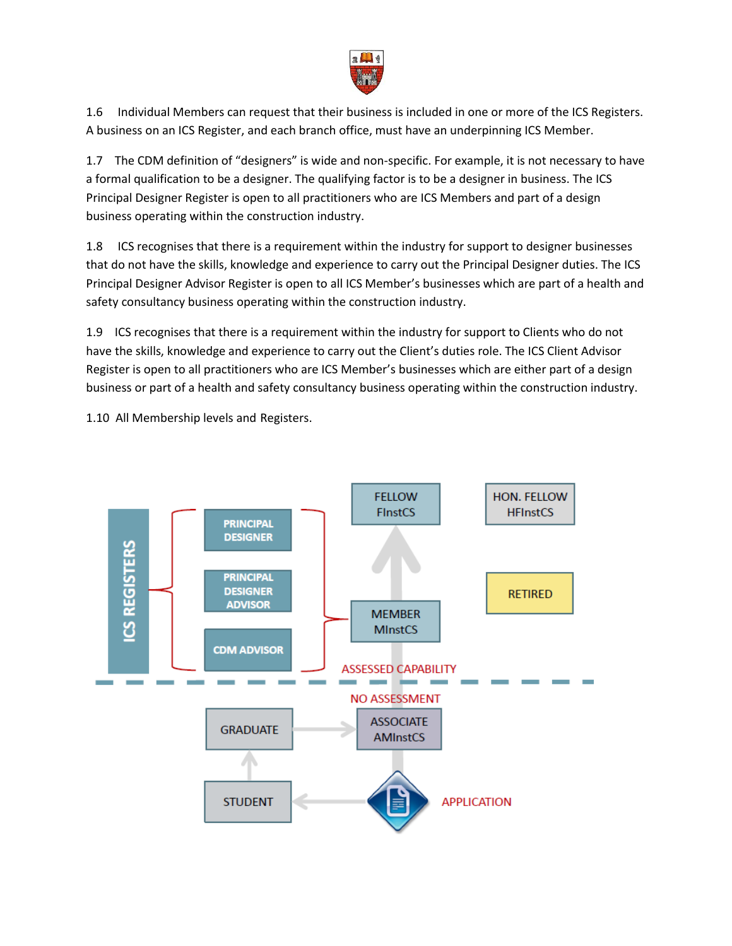

1.6 Individual Members can request that their business is included in one or more of the ICS Registers. A business on an ICS Register, and each branch office, must have an underpinning ICS Member.

1.7 The CDM definition of "designers" is wide and non-specific. For example, it is not necessary to have a formal qualification to be a designer. The qualifying factor is to be a designer in business. The ICS Principal Designer Register is open to all practitioners who are ICS Members and part of a design business operating within the construction industry.

1.8 ICS recognises that there is a requirement within the industry for support to designer businesses that do not have the skills, knowledge and experience to carry out the Principal Designer duties. The ICS Principal Designer Advisor Register is open to all ICS Member's businesses which are part of a health and safety consultancy business operating within the construction industry.

1.9 ICS recognises that there is a requirement within the industry for support to Clients who do not have the skills, knowledge and experience to carry out the Client's duties role. The ICS Client Advisor Register is open to all practitioners who are ICS Member's businesses which are either part of a design business or part of a health and safety consultancy business operating within the construction industry.

1.10 All Membership levels and Registers.

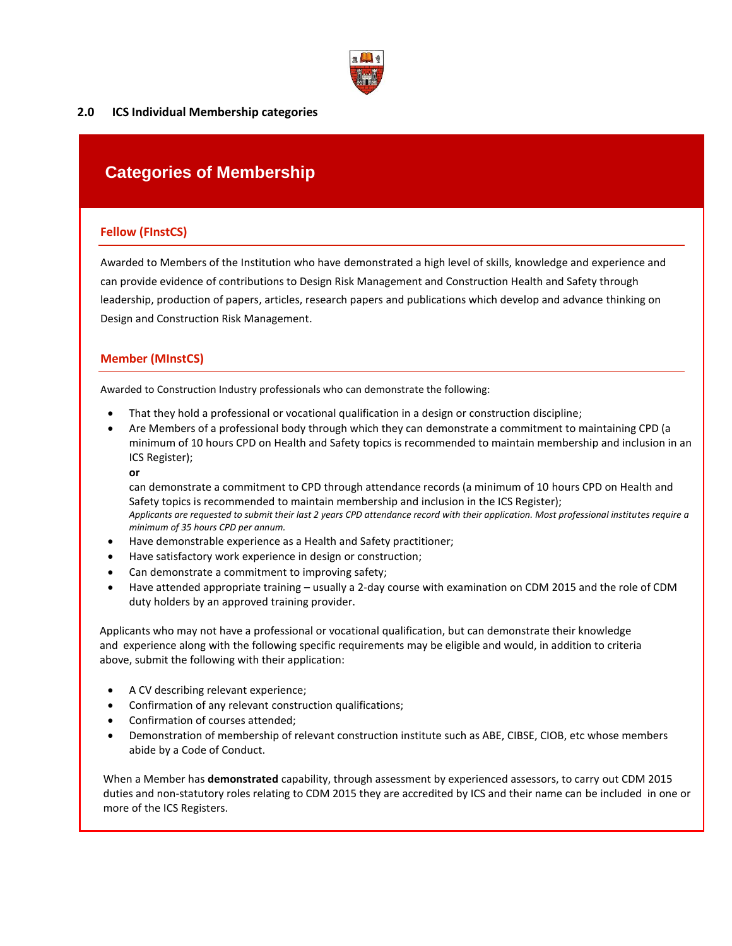

#### **2.0 ICS Individual Membership categories**

### **Categories of Membership**

#### **Fellow (FInstCS)**

Awarded to Members of the Institution who have demonstrated a high level of skills, knowledge and experience and can provide evidence of contributions to Design Risk Management and Construction Health and Safety through leadership, production of papers, articles, research papers and publications which develop and advance thinking on Design and Construction Risk Management.

#### **Member (MInstCS)**

Awarded to Construction Industry professionals who can demonstrate the following:

- That they hold a professional or vocational qualification in a design or construction discipline;
- Are Members of a professional body through which they can demonstrate a commitment to maintaining CPD (a minimum of 10 hours CPD on Health and Safety topics is recommended to maintain membership and inclusion in an ICS Register);
	- **or**

can demonstrate a commitment to CPD through attendance records (a minimum of 10 hours CPD on Health and Safety topics is recommended to maintain membership and inclusion in the ICS Register); *Applicants are requested to submit their last 2 years CPD attendance record with their application. Most professional institutes require a minimum of 35 hours CPD per annum.*

- Have demonstrable experience as a Health and Safety practitioner;
- Have satisfactory work experience in design or construction;
- Can demonstrate a commitment to improving safety;
- Have attended appropriate training usually a 2-day course with examination on CDM 2015 and the role of CDM duty holders by an approved training provider.

 Applicants who may not have a professional or vocational qualification, but can demonstrate their knowledge and experience along with the following specific requirements may be eligible and would, in addition to criteria above, submit the following with their application:

- A CV describing relevant experience;
- Confirmation of any relevant construction qualifications;
- Confirmation of courses attended;
- Demonstration of membership of relevant construction institute such as ABE, CIBSE, CIOB, etc whose members abide by a Code of Conduct.

When a Member has **demonstrated** capability, through assessment by experienced assessors, to carry out CDM 2015 duties and non-statutory roles relating to CDM 2015 they are accredited by ICS and their name can be included in one or more of the ICS Registers.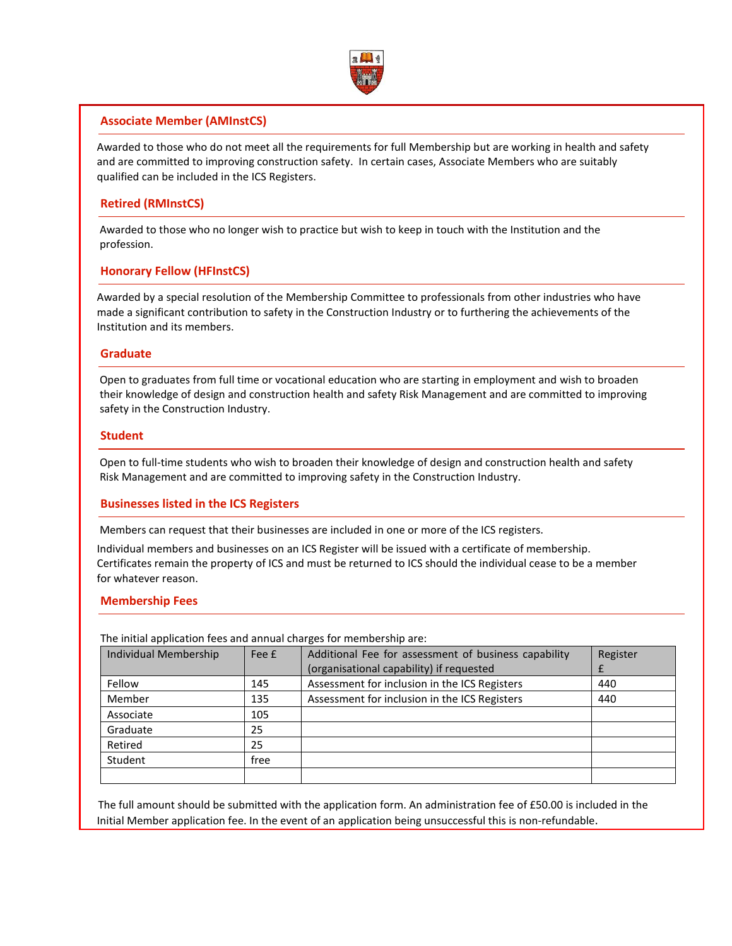

#### **Associate Member (AMInstCS)**

 Awarded to those who do not meet all the requirements for full Membership but are working in health and safety and are committed to improving construction safety. In certain cases, Associate Members who are suitably qualified can be included in the ICS Registers.

#### **Retired (RMInstCS)**

 Awarded to those who no longer wish to practice but wish to keep in touch with the Institution and the profession.

#### **Honorary Fellow (HFInstCS)**

 Awarded by a special resolution of the Membership Committee to professionals from other industries who have made a significant contribution to safety in the Construction Industry or to furthering the achievements of the Institution and its members.

#### **Graduate**

 Open to graduates from full time or vocational education who are starting in employment and wish to broaden their knowledge of design and construction health and safety Risk Management and are committed to improving safety in the Construction Industry.

#### **Student**

 Open to full-time students who wish to broaden their knowledge of design and construction health and safety Risk Management and are committed to improving safety in the Construction Industry.

#### **Businesses listed in the ICS Registers**

Members can request that their businesses are included in one or more of the ICS registers.

 Individual members and businesses on an ICS Register will be issued with a certificate of membership. Certificates remain the property of ICS and must be returned to ICS should the individual cease to be a member for whatever reason.

#### **Membership Fees**

| THE INITIAL ADDITIONATION TEES AND ANNUAL CHAPTER TOF INCHIDE SIND AFT. |       |                                                      |          |
|-------------------------------------------------------------------------|-------|------------------------------------------------------|----------|
| <b>Individual Membership</b>                                            | Fee £ | Additional Fee for assessment of business capability | Register |
|                                                                         |       | (organisational capability) if requested             |          |
| Fellow                                                                  | 145   | Assessment for inclusion in the ICS Registers        | 440      |
| Member                                                                  | 135   | Assessment for inclusion in the ICS Registers        | 440      |
| Associate                                                               | 105   |                                                      |          |
| Graduate                                                                | 25    |                                                      |          |
| Retired                                                                 | 25    |                                                      |          |
| Student                                                                 | free  |                                                      |          |
|                                                                         |       |                                                      |          |

The initial application fees and annual charges for membership are:

 The full amount should be submitted with the application form. An administration fee of £50.00 is included in the Initial Member application fee. In the event of an application being unsuccessful this is non-refundable.